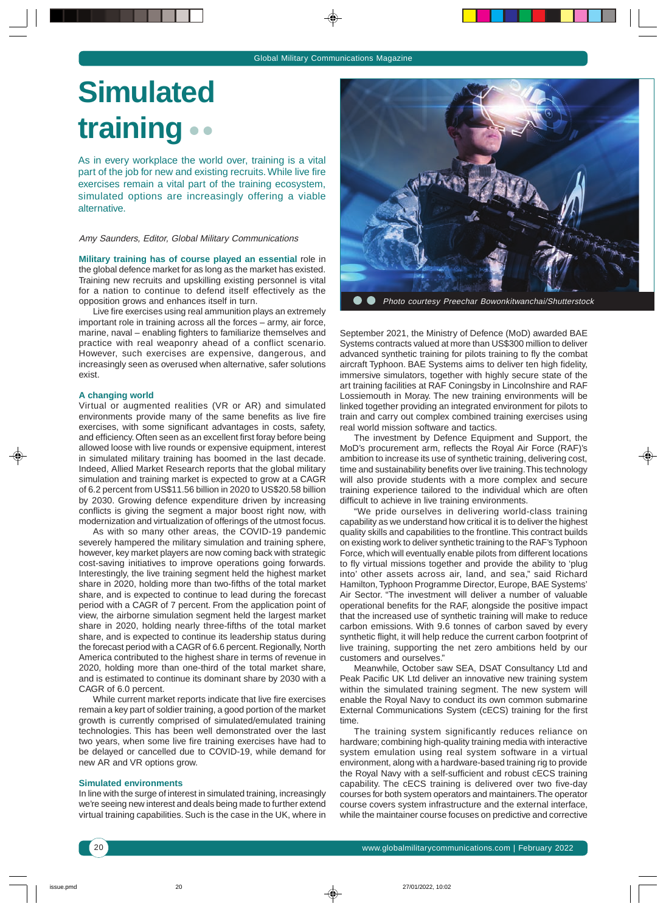## **Simulated training**

As in every workplace the world over, training is a vital part of the job for new and existing recruits. While live fire exercises remain a vital part of the training ecosystem, simulated options are increasingly offering a viable alternative.

Amy Saunders, Editor, Global Military Communications

**Military training has of course played an essential** role in the global defence market for as long as the market has existed. Training new recruits and upskilling existing personnel is vital for a nation to continue to defend itself effectively as the opposition grows and enhances itself in turn.

Live fire exercises using real ammunition plays an extremely important role in training across all the forces – army, air force, marine, naval – enabling fighters to familiarize themselves and practice with real weaponry ahead of a conflict scenario. However, such exercises are expensive, dangerous, and increasingly seen as overused when alternative, safer solutions exist.

## **A changing world**

Virtual or augmented realities (VR or AR) and simulated environments provide many of the same benefits as live fire exercises, with some significant advantages in costs, safety, and efficiency. Often seen as an excellent first foray before being allowed loose with live rounds or expensive equipment, interest in simulated military training has boomed in the last decade. Indeed, Allied Market Research reports that the global military simulation and training market is expected to grow at a CAGR of 6.2 percent from US\$11.56 billion in 2020 to US\$20.58 billion by 2030. Growing defence expenditure driven by increasing conflicts is giving the segment a major boost right now, with modernization and virtualization of offerings of the utmost focus.

As with so many other areas, the COVID-19 pandemic severely hampered the military simulation and training sphere, however, key market players are now coming back with strategic cost-saving initiatives to improve operations going forwards. Interestingly, the live training segment held the highest market share in 2020, holding more than two-fifths of the total market share, and is expected to continue to lead during the forecast period with a CAGR of 7 percent. From the application point of view, the airborne simulation segment held the largest market share in 2020, holding nearly three-fifths of the total market share, and is expected to continue its leadership status during the forecast period with a CAGR of 6.6 percent. Regionally, North America contributed to the highest share in terms of revenue in 2020, holding more than one-third of the total market share, and is estimated to continue its dominant share by 2030 with a CAGR of 6.0 percent.

While current market reports indicate that live fire exercises remain a key part of soldier training, a good portion of the market growth is currently comprised of simulated/emulated training technologies. This has been well demonstrated over the last two years, when some live fire training exercises have had to be delayed or cancelled due to COVID-19, while demand for new AR and VR options grow.

## **Simulated environments**

In line with the surge of interest in simulated training, increasingly we're seeing new interest and deals being made to further extend virtual training capabilities. Such is the case in the UK, where in



Photo courtesy Preechar Bowonkitwanchai/Shutterstock

September 2021, the Ministry of Defence (MoD) awarded BAE Systems contracts valued at more than US\$300 million to deliver advanced synthetic training for pilots training to fly the combat aircraft Typhoon. BAE Systems aims to deliver ten high fidelity, immersive simulators, together with highly secure state of the art training facilities at RAF Coningsby in Lincolnshire and RAF Lossiemouth in Moray. The new training environments will be linked together providing an integrated environment for pilots to train and carry out complex combined training exercises using real world mission software and tactics.

The investment by Defence Equipment and Support, the MoD's procurement arm, reflects the Royal Air Force (RAF)'s ambition to increase its use of synthetic training, delivering cost, time and sustainability benefits over live training. This technology will also provide students with a more complex and secure training experience tailored to the individual which are often difficult to achieve in live training environments.

"We pride ourselves in delivering world-class training capability as we understand how critical it is to deliver the highest quality skills and capabilities to the frontline. This contract builds on existing work to deliver synthetic training to the RAF's Typhoon Force, which will eventually enable pilots from different locations to fly virtual missions together and provide the ability to 'plug into' other assets across air, land, and sea," said Richard Hamilton, Typhoon Programme Director, Europe, BAE Systems' Air Sector. "The investment will deliver a number of valuable operational benefits for the RAF, alongside the positive impact that the increased use of synthetic training will make to reduce carbon emissions. With 9.6 tonnes of carbon saved by every synthetic flight, it will help reduce the current carbon footprint of live training, supporting the net zero ambitions held by our customers and ourselves."

Meanwhile, October saw SEA, DSAT Consultancy Ltd and Peak Pacific UK Ltd deliver an innovative new training system within the simulated training segment. The new system will enable the Royal Navy to conduct its own common submarine External Communications System (cECS) training for the first time.

The training system significantly reduces reliance on hardware; combining high-quality training media with interactive system emulation using real system software in a virtual environment, along with a hardware-based training rig to provide the Royal Navy with a self-sufficient and robust cECS training capability. The cECS training is delivered over two five-day courses for both system operators and maintainers. The operator course covers system infrastructure and the external interface, while the maintainer course focuses on predictive and corrective